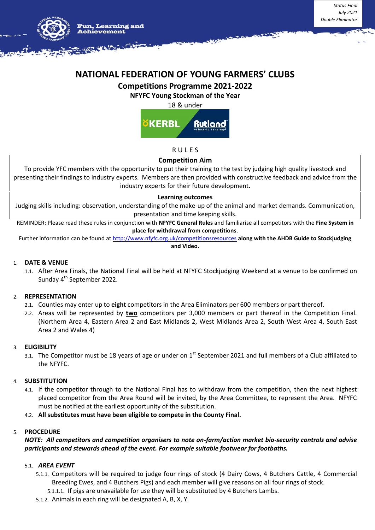

# **NATIONAL FEDERATION OF YOUNG FARMERS' CLUBS**

## **Competitions Programme 2021-2022**

**NFYFC Young Stockman of the Year** 

18 & under



## R U L E S

## **Competition Aim**

To provide YFC members with the opportunity to put their training to the test by judging high quality livestock and presenting their findings to industry experts. Members are then provided with constructive feedback and advice from the industry experts for their future development.

#### **Learning outcomes**

Judging skills including: observation, understanding of the make-up of the animal and market demands. Communication, presentation and time keeping skills.

REMINDER: Please read these rules in conjunction with **NFYFC General Rules** and familiarise all competitors with the **Fine System in place for withdrawal from competitions**.

Further information can be found at<http://www.nfyfc.org.uk/competitionsresources> **along with the AHDB Guide to Stockjudging and Video.**

## 1. **DATE & VENUE**

1.1. After Area Finals, the National Final will be held at NFYFC Stockjudging Weekend at a venue to be confirmed on Sunday 4<sup>th</sup> September 2022.

## 2. **REPRESENTATION**

- 2.1. Counties may enter up to **eight** competitors in the Area Eliminators per 600 members or part thereof.
- 2.2. Areas will be represented by **two** competitors per 3,000 members or part thereof in the Competition Final. (Northern Area 4, Eastern Area 2 and East Midlands 2, West Midlands Area 2, South West Area 4, South East Area 2 and Wales 4)

## 3. **ELIGIBILITY**

3.1. The Competitor must be 18 years of age or under on 1<sup>st</sup> September 2021 and full members of a Club affiliated to the NFYFC.

## 4. **SUBSTITUTION**

- 4.1. If the competitor through to the National Final has to withdraw from the competition, then the next highest placed competitor from the Area Round will be invited, by the Area Committee, to represent the Area. NFYFC must be notified at the earliest opportunity of the substitution.
- 4.2. **All substitutes must have been eligible to compete in the County Final.**

#### 5. **PROCEDURE**

## *NOTE: All competitors and competition organisers to note on-farm/action market bio-security controls and advise participants and stewards ahead of the event. For example suitable footwear for footbaths.*

## 5.1. *AREA EVENT*

- 5.1.1. Competitors will be required to judge four rings of stock (4 Dairy Cows, 4 Butchers Cattle, 4 Commercial Breeding Ewes, and 4 Butchers Pigs) and each member will give reasons on all four rings of stock.
	- 5.1.1.1. If pigs are unavailable for use they will be substituted by 4 Butchers Lambs.
- 5.1.2. Animals in each ring will be designated A, B, X, Y.